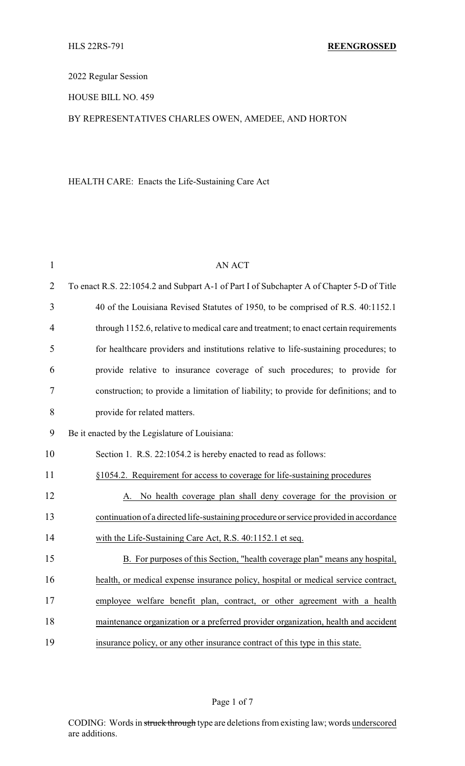2022 Regular Session

HOUSE BILL NO. 459

# BY REPRESENTATIVES CHARLES OWEN, AMEDEE, AND HORTON

HEALTH CARE: Enacts the Life-Sustaining Care Act

| $\mathbf{1}$   | <b>AN ACT</b>                                                                             |
|----------------|-------------------------------------------------------------------------------------------|
| $\overline{2}$ | To enact R.S. 22:1054.2 and Subpart A-1 of Part I of Subchapter A of Chapter 5-D of Title |
| 3              | 40 of the Louisiana Revised Statutes of 1950, to be comprised of R.S. 40:1152.1           |
| 4              | through 1152.6, relative to medical care and treatment; to enact certain requirements     |
| 5              | for healthcare providers and institutions relative to life-sustaining procedures; to      |
| 6              | provide relative to insurance coverage of such procedures; to provide for                 |
| 7              | construction; to provide a limitation of liability; to provide for definitions; and to    |
| 8              | provide for related matters.                                                              |
| 9              | Be it enacted by the Legislature of Louisiana:                                            |
| 10             | Section 1. R.S. 22:1054.2 is hereby enacted to read as follows:                           |
| 11             | §1054.2. Requirement for access to coverage for life-sustaining procedures                |
| 12             | A. No health coverage plan shall deny coverage for the provision or                       |
| 13             | continuation of a directed life-sustaining procedure or service provided in accordance    |
| 14             | with the Life-Sustaining Care Act, R.S. 40:1152.1 et seq.                                 |
| 15             | B. For purposes of this Section, "health coverage plan" means any hospital,               |
| 16             | health, or medical expense insurance policy, hospital or medical service contract,        |
| 17             | employee welfare benefit plan, contract, or other agreement with a health                 |
| 18             | maintenance organization or a preferred provider organization, health and accident        |
| 19             | insurance policy, or any other insurance contract of this type in this state.             |

Page 1 of 7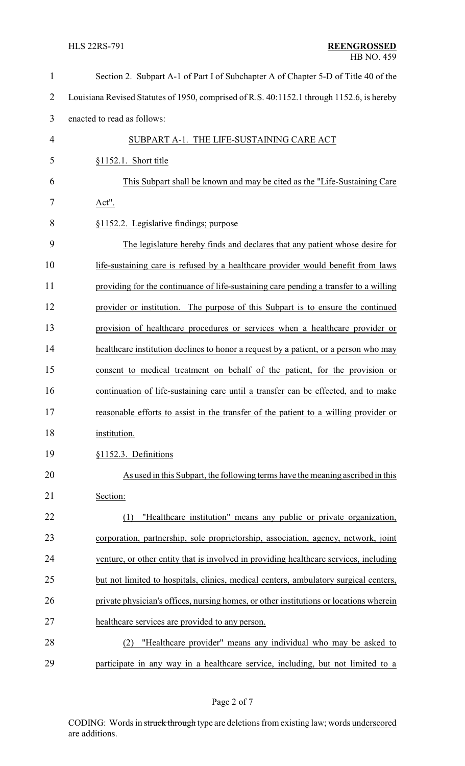| $\mathbf{1}$   | Section 2. Subpart A-1 of Part I of Subchapter A of Chapter 5-D of Title 40 of the        |
|----------------|-------------------------------------------------------------------------------------------|
| $\overline{2}$ | Louisiana Revised Statutes of 1950, comprised of R.S. 40:1152.1 through 1152.6, is hereby |
| 3              | enacted to read as follows:                                                               |
| 4              | SUBPART A-1. THE LIFE-SUSTAINING CARE ACT                                                 |
| 5              | §1152.1. Short title                                                                      |
| 6              | This Subpart shall be known and may be cited as the "Life-Sustaining Care"                |
| 7              | Act".                                                                                     |
| 8              | §1152.2. Legislative findings; purpose                                                    |
| 9              | The legislature hereby finds and declares that any patient whose desire for               |
| 10             | life-sustaining care is refused by a healthcare provider would benefit from laws          |
| 11             | providing for the continuance of life-sustaining care pending a transfer to a willing     |
| 12             | provider or institution. The purpose of this Subpart is to ensure the continued           |
| 13             | provision of healthcare procedures or services when a healthcare provider or              |
| 14             | healthcare institution declines to honor a request by a patient, or a person who may      |
| 15             | consent to medical treatment on behalf of the patient, for the provision or               |
| 16             | continuation of life-sustaining care until a transfer can be effected, and to make        |
| 17             | reasonable efforts to assist in the transfer of the patient to a willing provider or      |
| 18             | institution.                                                                              |
| 19             | §1152.3. Definitions                                                                      |
| 20             | As used in this Subpart, the following terms have the meaning ascribed in this            |
| 21             | Section:                                                                                  |
| 22             | "Healthcare institution" means any public or private organization,<br>(1)                 |
| 23             | corporation, partnership, sole proprietorship, association, agency, network, joint        |
| 24             | venture, or other entity that is involved in providing healthcare services, including     |
| 25             | but not limited to hospitals, clinics, medical centers, ambulatory surgical centers,      |
| 26             | private physician's offices, nursing homes, or other institutions or locations wherein    |
| 27             | healthcare services are provided to any person.                                           |
| 28             | "Healthcare provider" means any individual who may be asked to<br>(2)                     |
| 29             | participate in any way in a healthcare service, including, but not limited to a           |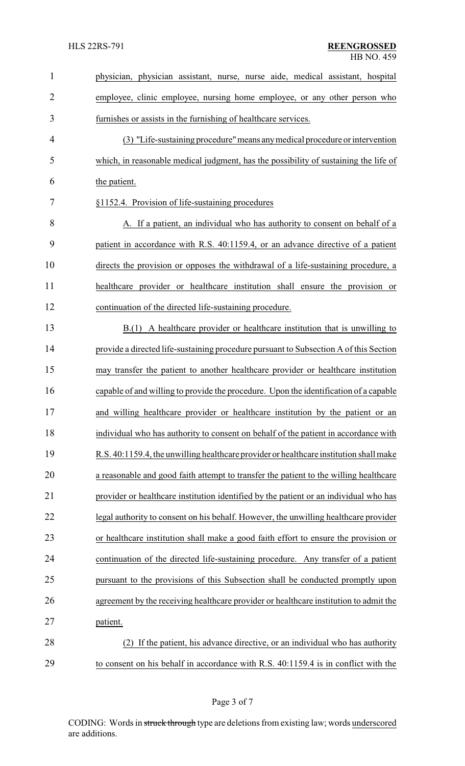| $\mathbf{1}$   | physician, physician assistant, nurse, nurse aide, medical assistant, hospital         |  |  |  |
|----------------|----------------------------------------------------------------------------------------|--|--|--|
| $\overline{2}$ | employee, clinic employee, nursing home employee, or any other person who              |  |  |  |
| 3              | furnishes or assists in the furnishing of healthcare services.                         |  |  |  |
| 4              | (3) "Life-sustaining procedure" means any medical procedure or intervention            |  |  |  |
| 5              | which, in reasonable medical judgment, has the possibility of sustaining the life of   |  |  |  |
| 6              | the patient.                                                                           |  |  |  |
| 7              | §1152.4. Provision of life-sustaining procedures                                       |  |  |  |
| 8              | A. If a patient, an individual who has authority to consent on behalf of a             |  |  |  |
| 9              | patient in accordance with R.S. 40:1159.4, or an advance directive of a patient        |  |  |  |
| 10             | directs the provision or opposes the withdrawal of a life-sustaining procedure, a      |  |  |  |
| 11             | healthcare provider or healthcare institution shall ensure the provision or            |  |  |  |
| 12             | continuation of the directed life-sustaining procedure.                                |  |  |  |
| 13             | B.(1) A healthcare provider or healthcare institution that is unwilling to             |  |  |  |
| 14             | provide a directed life-sustaining procedure pursuant to Subsection A of this Section  |  |  |  |
| 15             | may transfer the patient to another healthcare provider or healthcare institution      |  |  |  |
| 16             | capable of and willing to provide the procedure. Upon the identification of a capable  |  |  |  |
| 17             | and willing healthcare provider or healthcare institution by the patient or an         |  |  |  |
| 18             | individual who has authority to consent on behalf of the patient in accordance with    |  |  |  |
| 19             | R.S. 40:1159.4, the unwilling healthcare provider or healthcare institution shall make |  |  |  |
| 20             | a reasonable and good faith attempt to transfer the patient to the willing healthcare  |  |  |  |
| 21             | provider or healthcare institution identified by the patient or an individual who has  |  |  |  |
| 22             | legal authority to consent on his behalf. However, the unwilling healthcare provider   |  |  |  |
| 23             | or healthcare institution shall make a good faith effort to ensure the provision or    |  |  |  |
| 24             | continuation of the directed life-sustaining procedure. Any transfer of a patient      |  |  |  |
| 25             | pursuant to the provisions of this Subsection shall be conducted promptly upon         |  |  |  |
| 26             | agreement by the receiving healthcare provider or healthcare institution to admit the  |  |  |  |
| 27             | patient.                                                                               |  |  |  |
| 28             | If the patient, his advance directive, or an individual who has authority<br>(2)       |  |  |  |
| 29             | to consent on his behalf in accordance with R.S. 40:1159.4 is in conflict with the     |  |  |  |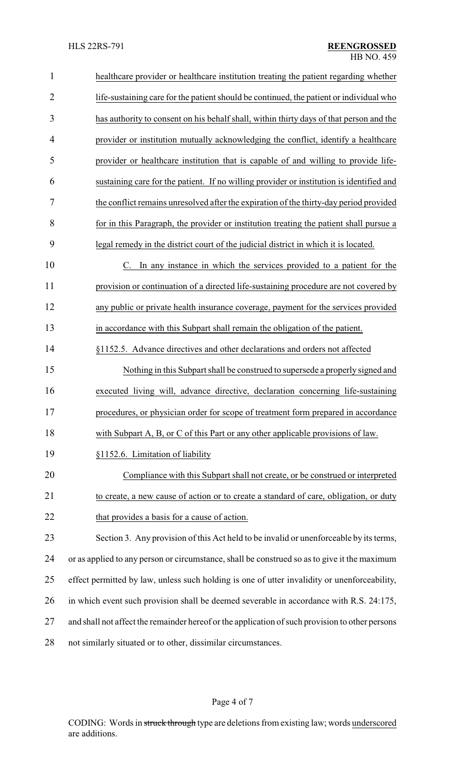| $\mathbf{1}$   | healthcare provider or healthcare institution treating the patient regarding whether            |
|----------------|-------------------------------------------------------------------------------------------------|
| $\overline{2}$ | life-sustaining care for the patient should be continued, the patient or individual who         |
| 3              | has authority to consent on his behalf shall, within thirty days of that person and the         |
| $\overline{4}$ | provider or institution mutually acknowledging the conflict, identify a healthcare              |
| 5              | provider or healthcare institution that is capable of and willing to provide life-              |
| 6              | sustaining care for the patient. If no willing provider or institution is identified and        |
| 7              | the conflict remains unresolved after the expiration of the thirty-day period provided          |
| 8              | for in this Paragraph, the provider or institution treating the patient shall pursue a          |
| 9              | legal remedy in the district court of the judicial district in which it is located.             |
| 10             | C. In any instance in which the services provided to a patient for the                          |
| 11             | provision or continuation of a directed life-sustaining procedure are not covered by            |
| 12             | any public or private health insurance coverage, payment for the services provided              |
| 13             | in accordance with this Subpart shall remain the obligation of the patient.                     |
| 14             | §1152.5. Advance directives and other declarations and orders not affected                      |
| 15             | Nothing in this Subpart shall be construed to supersede a properly signed and                   |
| 16             | executed living will, advance directive, declaration concerning life-sustaining                 |
| 17             | procedures, or physician order for scope of treatment form prepared in accordance               |
| 18             | with Subpart A, B, or C of this Part or any other applicable provisions of law.                 |
| 19             | §1152.6. Limitation of liability                                                                |
| 20             | Compliance with this Subpart shall not create, or be construed or interpreted                   |
| 21             | to create, a new cause of action or to create a standard of care, obligation, or duty           |
| 22             | that provides a basis for a cause of action.                                                    |
| 23             | Section 3. Any provision of this Act held to be invalid or unenforceable by its terms,          |
| 24             | or as applied to any person or circumstance, shall be construed so as to give it the maximum    |
| 25             | effect permitted by law, unless such holding is one of utter invalidity or unenforceability,    |
| 26             | in which event such provision shall be deemed severable in accordance with R.S. 24:175,         |
| 27             | and shall not affect the remainder hereof or the application of such provision to other persons |
| 28             | not similarly situated or to other, dissimilar circumstances.                                   |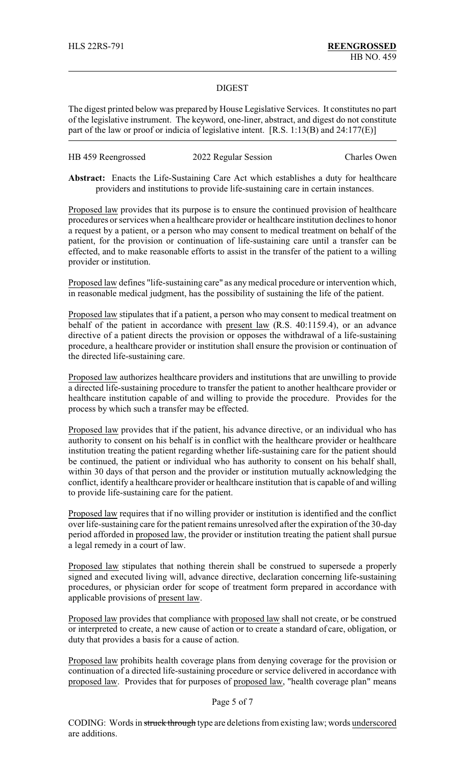#### DIGEST

The digest printed below was prepared by House Legislative Services. It constitutes no part of the legislative instrument. The keyword, one-liner, abstract, and digest do not constitute part of the law or proof or indicia of legislative intent. [R.S. 1:13(B) and 24:177(E)]

| HB 459 Reengrossed | 2022 Regular Session | <b>Charles Owen</b> |
|--------------------|----------------------|---------------------|
|--------------------|----------------------|---------------------|

**Abstract:** Enacts the Life-Sustaining Care Act which establishes a duty for healthcare providers and institutions to provide life-sustaining care in certain instances.

Proposed law provides that its purpose is to ensure the continued provision of healthcare procedures or services when a healthcare provider or healthcare institution declines to honor a request by a patient, or a person who may consent to medical treatment on behalf of the patient, for the provision or continuation of life-sustaining care until a transfer can be effected, and to make reasonable efforts to assist in the transfer of the patient to a willing provider or institution.

Proposed law defines "life-sustaining care" as anymedical procedure or intervention which, in reasonable medical judgment, has the possibility of sustaining the life of the patient.

Proposed law stipulates that if a patient, a person who may consent to medical treatment on behalf of the patient in accordance with present law (R.S. 40:1159.4), or an advance directive of a patient directs the provision or opposes the withdrawal of a life-sustaining procedure, a healthcare provider or institution shall ensure the provision or continuation of the directed life-sustaining care.

Proposed law authorizes healthcare providers and institutions that are unwilling to provide a directed life-sustaining procedure to transfer the patient to another healthcare provider or healthcare institution capable of and willing to provide the procedure. Provides for the process by which such a transfer may be effected.

Proposed law provides that if the patient, his advance directive, or an individual who has authority to consent on his behalf is in conflict with the healthcare provider or healthcare institution treating the patient regarding whether life-sustaining care for the patient should be continued, the patient or individual who has authority to consent on his behalf shall, within 30 days of that person and the provider or institution mutually acknowledging the conflict, identify a healthcare provider or healthcare institution that is capable of and willing to provide life-sustaining care for the patient.

Proposed law requires that if no willing provider or institution is identified and the conflict over life-sustaining care for the patient remains unresolved after the expiration of the 30-day period afforded in proposed law, the provider or institution treating the patient shall pursue a legal remedy in a court of law.

Proposed law stipulates that nothing therein shall be construed to supersede a properly signed and executed living will, advance directive, declaration concerning life-sustaining procedures, or physician order for scope of treatment form prepared in accordance with applicable provisions of present law.

Proposed law provides that compliance with proposed law shall not create, or be construed or interpreted to create, a new cause of action or to create a standard of care, obligation, or duty that provides a basis for a cause of action.

Proposed law prohibits health coverage plans from denying coverage for the provision or continuation of a directed life-sustaining procedure or service delivered in accordance with proposed law. Provides that for purposes of proposed law, "health coverage plan" means

#### Page 5 of 7

CODING: Words in struck through type are deletions from existing law; words underscored are additions.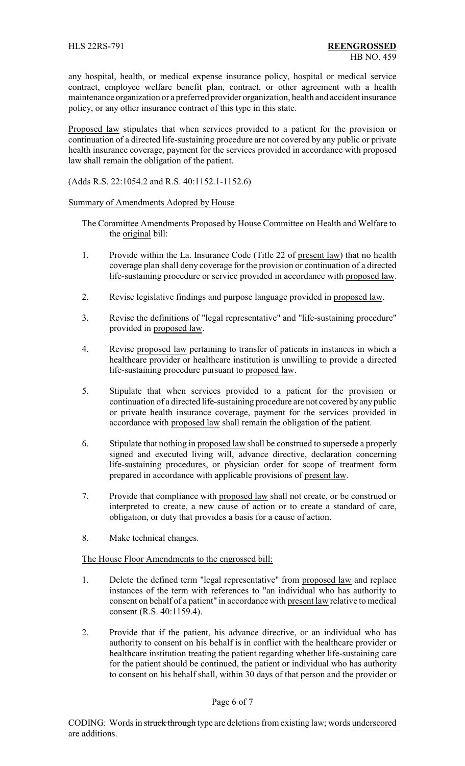any hospital, health, or medical expense insurance policy, hospital or medical service contract, employee welfare benefit plan, contract, or other agreement with a health maintenance organization or a preferred provider organization, health and accident insurance policy, or any other insurance contract of this type in this state.

Proposed law stipulates that when services provided to a patient for the provision or continuation of a directed life-sustaining procedure are not covered by any public or private health insurance coverage, payment for the services provided in accordance with proposed law shall remain the obligation of the patient.

(Adds R.S. 22:1054.2 and R.S. 40:1152.1-1152.6)

## Summary of Amendments Adopted by House

- The Committee Amendments Proposed by House Committee on Health and Welfare to the original bill:
- 1. Provide within the La. Insurance Code (Title 22 of present law) that no health coverage plan shall deny coverage for the provision or continuation of a directed life-sustaining procedure or service provided in accordance with proposed law.
- 2. Revise legislative findings and purpose language provided in proposed law.
- 3. Revise the definitions of "legal representative" and "life-sustaining procedure" provided in proposed law.
- 4. Revise proposed law pertaining to transfer of patients in instances in which a healthcare provider or healthcare institution is unwilling to provide a directed life-sustaining procedure pursuant to proposed law.
- 5. Stipulate that when services provided to a patient for the provision or continuation of a directed life-sustaining procedure are not covered by any public or private health insurance coverage, payment for the services provided in accordance with proposed law shall remain the obligation of the patient.
- 6. Stipulate that nothing in proposed law shall be construed to supersede a properly signed and executed living will, advance directive, declaration concerning life-sustaining procedures, or physician order for scope of treatment form prepared in accordance with applicable provisions of present law.
- 7. Provide that compliance with proposed law shall not create, or be construed or interpreted to create, a new cause of action or to create a standard of care, obligation, or duty that provides a basis for a cause of action.
- 8. Make technical changes.

## The House Floor Amendments to the engrossed bill:

- 1. Delete the defined term "legal representative" from proposed law and replace instances of the term with references to "an individual who has authority to consent on behalf of a patient" in accordance with present law relative to medical consent (R.S. 40:1159.4).
- 2. Provide that if the patient, his advance directive, or an individual who has authority to consent on his behalf is in conflict with the healthcare provider or healthcare institution treating the patient regarding whether life-sustaining care for the patient should be continued, the patient or individual who has authority to consent on his behalf shall, within 30 days of that person and the provider or

## Page 6 of 7